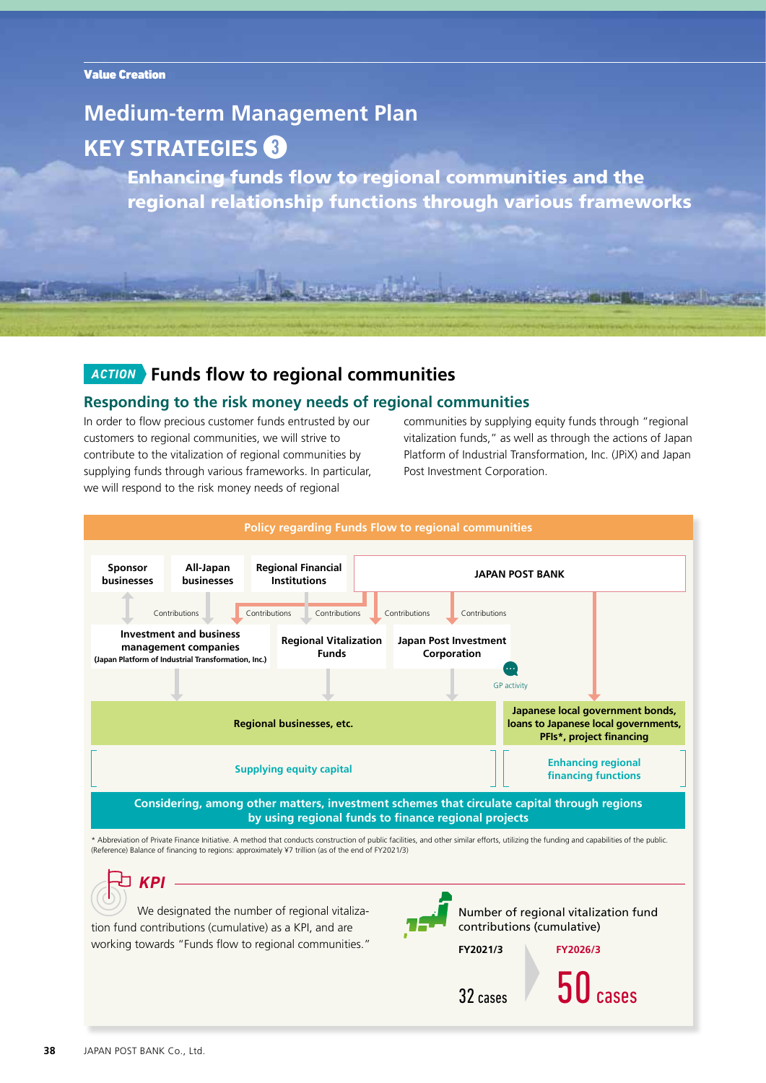# **Medium-term Management Plan KEY STRATEGIES**

Enhancing funds flow to regional communities and the regional relationship functions through various frameworks

# *ACTION* **Funds flow to regional communities**

### **Responding to the risk money needs of regional communities**

In order to flow precious customer funds entrusted by our customers to regional communities, we will strive to contribute to the vitalization of regional communities by supplying funds through various frameworks. In particular, we will respond to the risk money needs of regional

communities by supplying equity funds through "regional vitalization funds," as well as through the actions of Japan Platform of Industrial Transformation, Inc. (JPiX) and Japan Post Investment Corporation.

Floor the live mother



tion fund contributions (cumulative) as a KPI, and are working towards "Funds flow to regional communities."

**FY2021/3**

**FY2026/3**

 $32 \text{ cases}$   $30 \text{ cases}$ 

contributions (cumulative)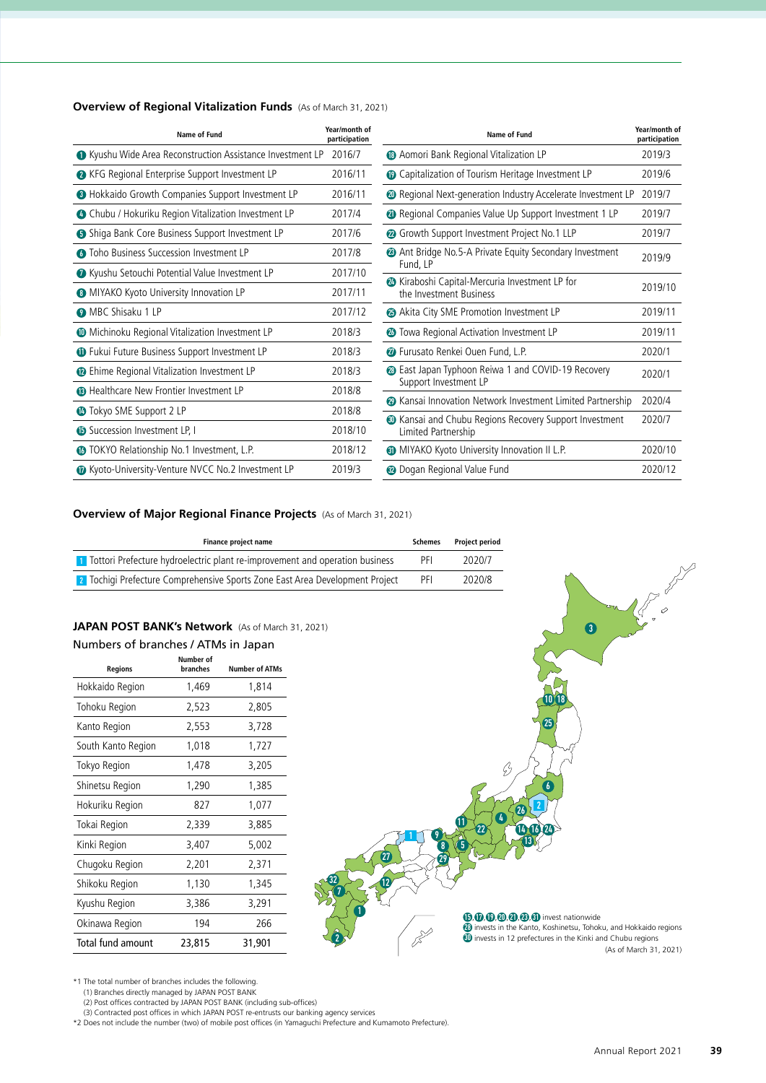| Overview of Regional Vitalization Funds (As of March 31, 2021) |  |
|----------------------------------------------------------------|--|
|----------------------------------------------------------------|--|

| <b>Name of Fund</b>                                         | Year/month of<br>participation | Name of Fund                                                                          | Year/month of<br>participation |
|-------------------------------------------------------------|--------------------------------|---------------------------------------------------------------------------------------|--------------------------------|
| • Kyushu Wide Area Reconstruction Assistance Investment LP  | 2016/7                         | <sup>6</sup> Aomori Bank Regional Vitalization LP                                     | 2019/3                         |
| • KFG Regional Enterprise Support Investment LP             | 2016/11                        | <b>1</b> Capitalization of Tourism Heritage Investment LP                             | 2019/6                         |
| <b>B</b> Hokkaido Growth Companies Support Investment LP    | 2016/11                        | <sup>20</sup> Regional Next-generation Industry Accelerate Investment LP              | 2019/7                         |
| <b>O</b> Chubu / Hokuriku Region Vitalization Investment LP | 2017/4                         | <sup>4</sup> Regional Companies Value Up Support Investment 1 LP                      | 2019/7                         |
| <b>5</b> Shiga Bank Core Business Support Investment LP     | 2017/6                         | <sup>2</sup> Growth Support Investment Project No.1 LLP                               | 2019/7                         |
| <b>O</b> Toho Business Succession Investment LP             | 2017/8                         | Ant Bridge No.5-A Private Equity Secondary Investment<br>Fund, LP                     | 2019/9                         |
| • Kyushu Setouchi Potential Value Investment LP             | 2017/10                        | <b>23</b> Kiraboshi Capital-Mercuria Investment LP for                                |                                |
| <b>O</b> MIYAKO Kyoto University Innovation LP              | 2017/11                        | the Investment Business                                                               | 2019/10                        |
| <b>O</b> MBC Shisaku 1 LP                                   | 2017/12                        | Akita City SME Promotion Investment LP                                                | 2019/11                        |
| <b>ID</b> Michinoku Regional Vitalization Investment LP     | 2018/3                         | <b>23</b> Towa Regional Activation Investment LP                                      | 2019/11                        |
| <b>1</b> Fukui Future Business Support Investment LP        | 2018/3                         | <b><i>O</i></b> Furusato Renkei Ouen Fund, L.P.                                       | 2020/1                         |
| <b>1</b> Ehime Regional Vitalization Investment LP          | 2018/3                         | <b>23</b> East Japan Typhoon Reiwa 1 and COVID-19 Recovery<br>Support Investment LP   | 2020/1                         |
| <b>B</b> Healthcare New Frontier Investment LP              | 2018/8                         | <b>2</b> Kansai Innovation Network Investment Limited Partnership                     | 2020/4                         |
| <b>1</b> Tokyo SME Support 2 LP                             | 2018/8                         |                                                                                       |                                |
| <b>B</b> Succession Investment LP, I                        | 2018/10                        | <b>10</b> Kansai and Chubu Regions Recovery Support Investment<br>Limited Partnership | 2020/7                         |
| <b>1</b> TOKYO Relationship No.1 Investment, L.P.           | 2018/12                        | <b>60</b> MIYAKO Kyoto University Innovation II L.P.                                  | 2020/10                        |
| <b>D</b> Kyoto-University-Venture NVCC No.2 Investment LP   | 2019/3                         | <b>@</b> Dogan Regional Value Fund                                                    | 2020/12                        |

### **Overview of Major Regional Finance Projects** (As of March 31, 2021)

| <b>T</b> Tottori Prefecture hydroelectric plant re-improvement and operation business |     |        |
|---------------------------------------------------------------------------------------|-----|--------|
|                                                                                       | PFI | 2020/7 |
| 2 Tochigi Prefecture Comprehensive Sports Zone East Area Development Project          | PFI | 2020/8 |

## **JAPAN POST BANK's Network** (As of March 31, 2021)

| Numbers of branches / ATMs in Japan |  |
|-------------------------------------|--|
|-------------------------------------|--|

| <b>Regions</b>           | Number of<br>branches | <b>Number of ATMs</b> |
|--------------------------|-----------------------|-----------------------|
| Hokkaido Region          | 1,469                 | 1,814                 |
| Tohoku Region            | 2,523                 | 2,805                 |
| Kanto Region             | 2,553                 | 3,728                 |
| South Kanto Region       | 1,018                 | 1,727                 |
| Tokyo Region             | 1,478                 | 3,205                 |
| Shinetsu Region          | 1,290                 | 1,385                 |
| Hokuriku Region          | 827                   | 1,077                 |
| Tokai Region             | 2,339                 | 3,885                 |
| Kinki Region             | 3,407                 | 5,002                 |
| Chugoku Region           | 2,201                 | 2,371                 |
| Shikoku Region           | 1,130                 | 1,345                 |
| Kyushu Region            | 3,386                 | 3,291                 |
| Okinawa Region           | 194                   | 266                   |
| <b>Total fund amount</b> | 23,815                | 31,901                |



\*1 The total number of branches includes the following.

(1) Branches directly managed by JAPAN POST BANK

(2) Post offices contracted by JAPAN POST BANK (including sub-offices) (3) Contracted post offices in which JAPAN POST re-entrusts our banking agency services

\*2 Does not include the number (two) of mobile post offices (in Yamaguchi Prefecture and Kumamoto Prefecture).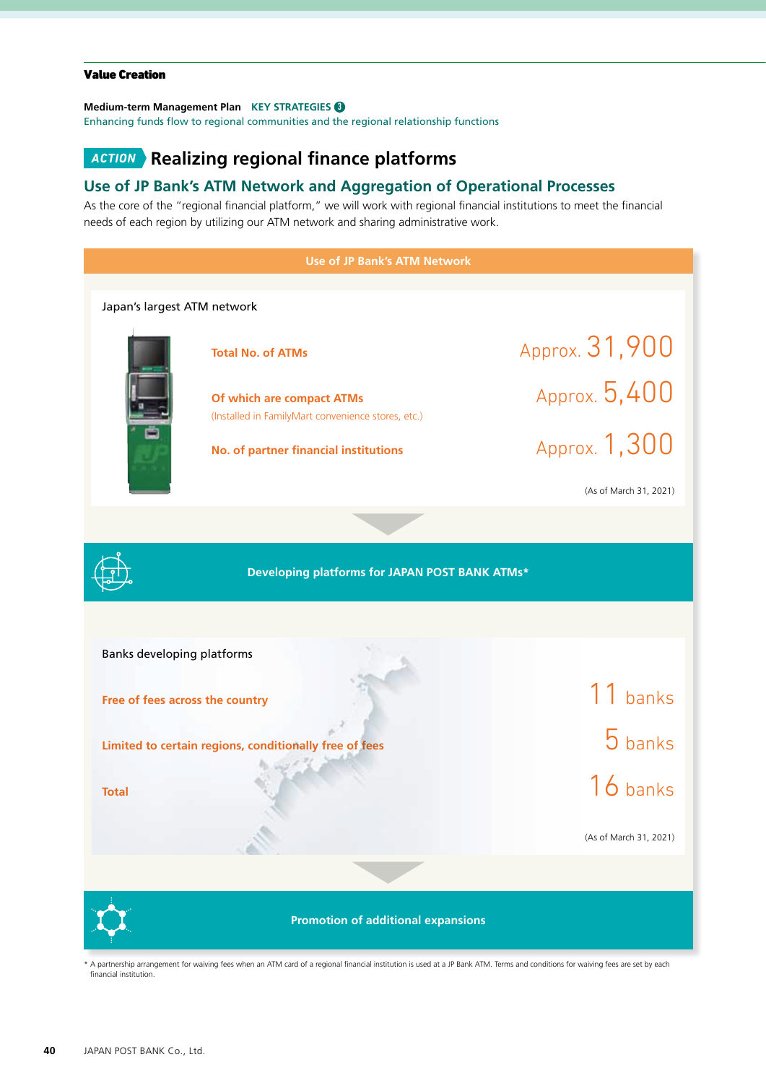#### Value Creation

#### **Medium-term Management Plan KEY STRATEGIES**

Enhancing funds flow to regional communities and the regional relationship functions

# *ACTION* **Realizing regional finance platforms**

### **Use of JP Bank's ATM Network and Aggregation of Operational Processes**

As the core of the "regional financial platform," we will work with regional financial institutions to meet the financial needs of each region by utilizing our ATM network and sharing administrative work.



A partnership arrangement for waiving fees when an ATM card of a regional financial institution is used at a JP Bank ATM. Terms and conditions for waiving fees are set by each financial institution.